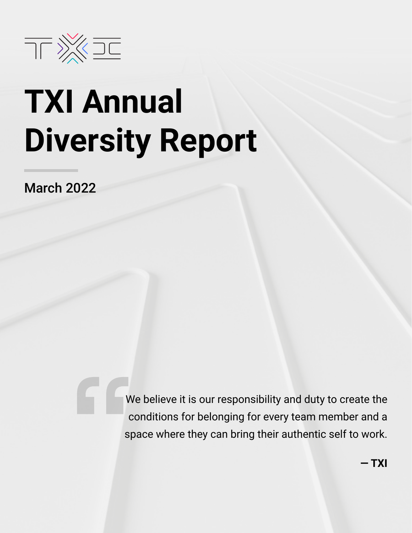

# **TXI Annual Diversity Report**

March 2022

We believe it is our responsibility and duty to create the conditions for belonging for every team member and a space where they can bring their authentic self to work.

**— TXI**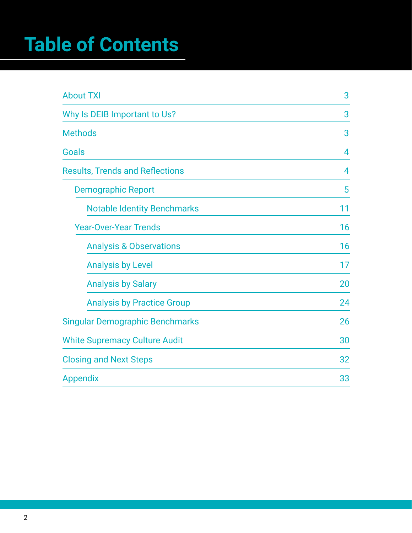## **Table of Contents**

| <b>About TXI</b>                       | 3  |
|----------------------------------------|----|
| Why Is DEIB Important to Us?           | 3  |
| <b>Methods</b>                         | 3  |
| Goals                                  | 4  |
| <b>Results, Trends and Reflections</b> | 4  |
| <b>Demographic Report</b>              | 5  |
| <b>Notable Identity Benchmarks</b>     | 11 |
| <b>Year-Over-Year Trends</b>           | 16 |
| <b>Analysis &amp; Observations</b>     | 16 |
| <b>Analysis by Level</b>               | 17 |
| <b>Analysis by Salary</b>              | 20 |
| <b>Analysis by Practice Group</b>      | 24 |
| <b>Singular Demographic Benchmarks</b> | 26 |
| <b>White Supremacy Culture Audit</b>   | 30 |
| <b>Closing and Next Steps</b>          | 32 |
| <b>Appendix</b>                        | 33 |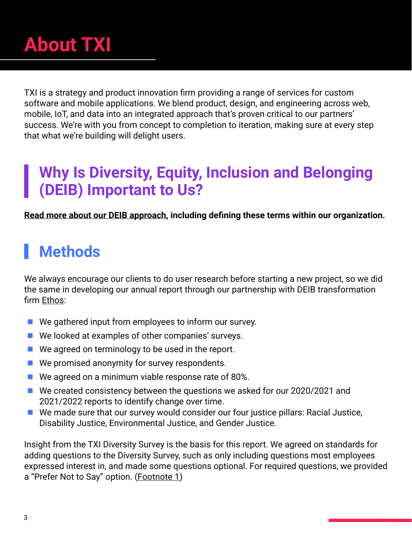<span id="page-2-0"></span>

TXI is a strategy and product innovation firm providing a range of services for custom software and mobile applications. We blend product, design, and engineering across web, mobile, IoT, and data into an integrated approach that's proven critical to our partners' success. We're with you from concept to completion to iteration, making sure at every step that what we're building will delight users.

#### **Why Is Diversity, Equity, Inclusion and Belonging (DEIB) Important to Us?**

**[Read more about our DEIB approach](https://www.tablexi.com/diversity-equity-inclusion-and-belonging-at-table-xi), including defining these terms within our organization.**

### **Methods**

We always encourage our clients to do user research before starting a new project, so we did the same in developing our annual report through our partnership with DEIB transformation firm [Ethos](https://ethostalent.com/):

- $\blacksquare$  We gathered input from employees to inform our survey.
- We looked at examples of other companies' surveys.
- $\blacksquare$  We agreed on terminology to be used in the report.
- We promised anonymity for survey respondents.
- $\blacksquare$  We agreed on a minimum viable response rate of 80%.
- We created consistency between the questions we asked for our 2020/2021 and 2021/2022 reports to identify change over time.
- $\blacksquare$  We made sure that our survey would consider our four justice pillars: Racial Justice, Disability Justice, Environmental Justice, and Gender Justice.

Insight from the TXI Diversity Survey is the basis for this report. We agreed on standards for adding questions to the Diversity Survey, such as only including questions most employees expressed interest in, and made some questions optional. For required questions, we provided a "Prefer Not to Say" option. ([Footnote 1\)](#page-34-0)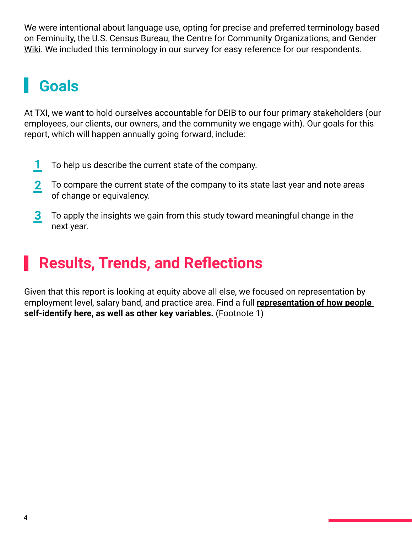<span id="page-3-0"></span>We were intentional about language use, opting for precise and preferred terminology based on [Feminuity,](https://static1.squarespace.com/static/5cdb02d1ebfc7f4d8f68fd54/t/5f986c75052c1d360d51874b/1603824758806/A_Guide_to_LGBTQ2%2B_Inclusion_for_HR%2C_People%2C_%26_DEI_Leaders_%5BFEMINUITY%5D.pdf) the U.S. Census Bureau, the [Centre for Community Organizations,](https://coco-net.org/white-supremacy-culture-in-organizations/) and [Gender](https://gender.fandom.com/wiki/Gender_Wiki)  [Wiki](https://gender.fandom.com/wiki/Gender_Wiki). We included this terminology in our survey for easy reference for our respondents.

### **Goals**

At TXI, we want to hold ourselves accountable for DEIB to our four primary stakeholders (our employees, our clients, our owners, and the community we engage with). Our goals for this report, which will happen annually going forward, include:

- To help us describe the current state of the company. **1**
- To compare the current state of the company to its state last year and note areas of change or equivalency. **2**
- To apply the insights we gain from this study toward meaningful change in the next year. **3**

### **Results, Trends, and Reflections**

Given that this report is looking at equity above all else, we focused on representation by employment level, salary band, and practice area. Find a full **[representation of how people](#page-10-0)  [self-identify here](#page-10-0), as well as other key variables.** [\(Footnote 1](#page-34-0))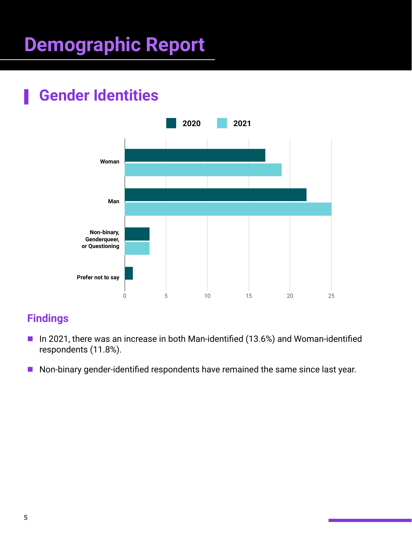## <span id="page-4-0"></span>**Demographic Report**

### **Gender Identities**



- In 2021, there was an increase in both Man-identified (13.6%) and Woman-identified respondents (11.8%).
- Non-binary gender-identified respondents have remained the same since last year.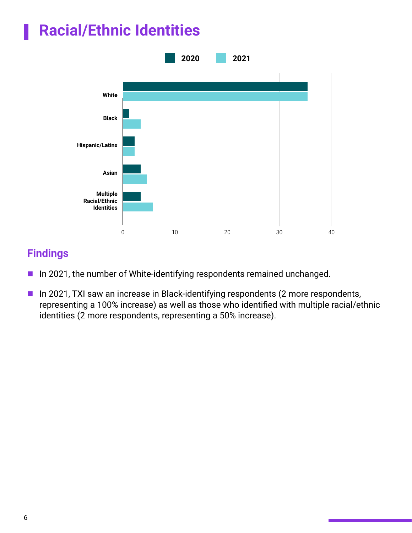### **Racial/Ethnic Identities**



- In 2021, the number of White-identifying respondents remained unchanged.
- **In 2021, TXI saw an increase in Black-identifying respondents (2 more respondents,** representing a 100% increase) as well as those who identified with multiple racial/ethnic identities (2 more respondents, representing a 50% increase).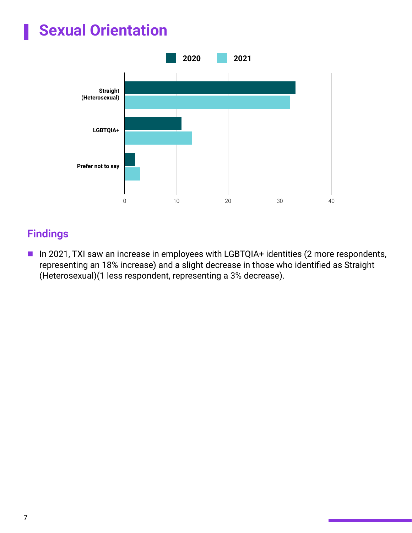### **Sexual Orientation**



#### **Findings**

■ In 2021, TXI saw an increase in employees with LGBTQIA+ identities (2 more respondents, representing an 18% increase) and a slight decrease in those who identified as Straight (Heterosexual)(1 less respondent, representing a 3% decrease).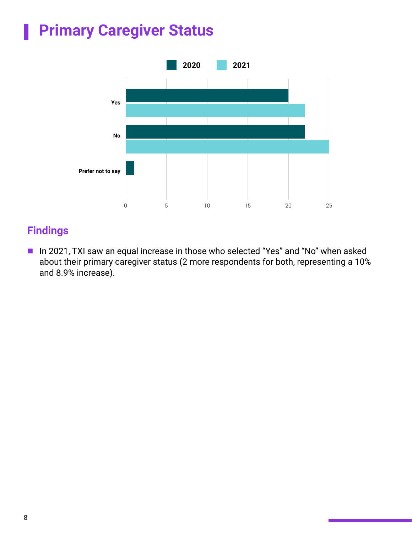### **Primary Caregiver Status**



#### **Findings**

■ In 2021, TXI saw an equal increase in those who selected "Yes" and "No" when asked about their primary caregiver status (2 more respondents for both, representing a 10% and 8.9% increase).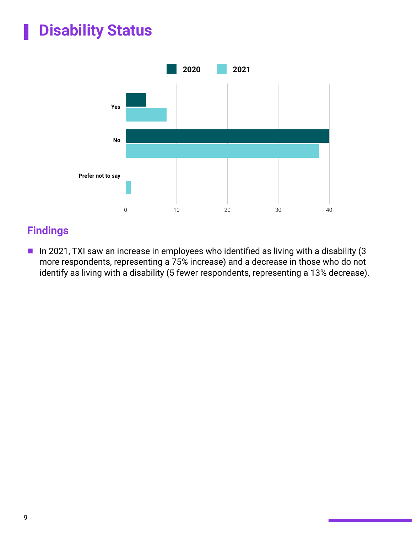### **Disability Status**



#### **Findings**

 $\blacksquare$  In 2021, TXI saw an increase in employees who identified as living with a disability (3 more respondents, representing a 75% increase) and a decrease in those who do not identify as living with a disability (5 fewer respondents, representing a 13% decrease).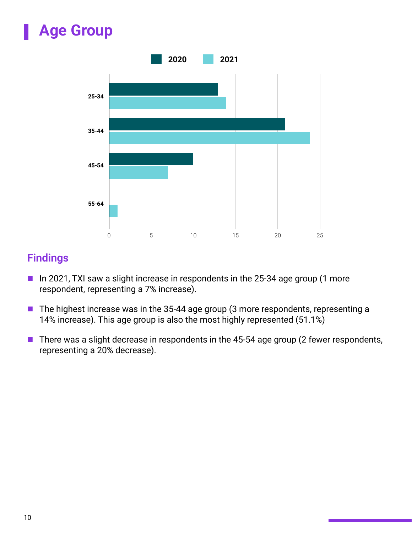### **Age Group**



- In 2021, TXI saw a slight increase in respondents in the 25-34 age group (1 more respondent, representing a 7% increase).
- The highest increase was in the 35-44 age group (3 more respondents, representing a 14% increase). This age group is also the most highly represented (51.1%)
- There was a slight decrease in respondents in the 45-54 age group (2 fewer respondents, representing a 20% decrease).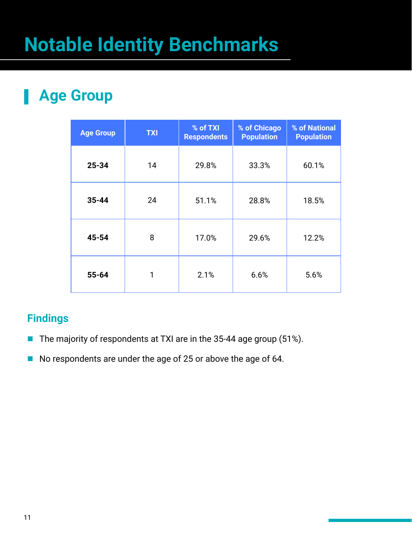## <span id="page-10-0"></span>**Notable Identity Benchmarks**

#### **Age Group** н

| <b>Age Group</b> | <b>TXI</b> | % of TXI<br><b>Respondents</b> | % of Chicago<br><b>Population</b> | % of National<br><b>Population</b> |
|------------------|------------|--------------------------------|-----------------------------------|------------------------------------|
| 25-34            | 14         | 29.8%                          | 33.3%                             | 60.1%                              |
| $35 - 44$        | 24         | 51.1%                          | 28.8%                             | 18.5%                              |
| 45-54            | 8          | 17.0%                          | 29.6%                             | 12.2%                              |
| $55 - 64$        | 1          | 2.1%                           | 6.6%                              | 5.6%                               |

- The majority of respondents at TXI are in the 35-44 age group (51%).
- No respondents are under the age of 25 or above the age of 64.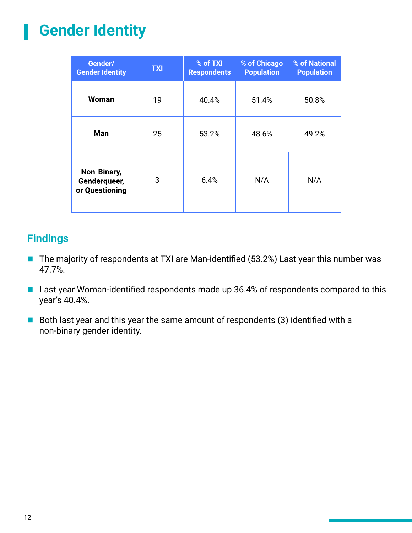#### **Gender Identity** Ш

| Gender/<br><b>Gender Identity</b>             | <b>TXI</b> | % of TXI<br><b>Respondents</b> | % of Chicago<br><b>Population</b> | % of National<br><b>Population</b> |
|-----------------------------------------------|------------|--------------------------------|-----------------------------------|------------------------------------|
| <b>Woman</b>                                  | 19         | 40.4%                          | 51.4%                             | 50.8%                              |
| Man                                           | 25         | 53.2%                          | 48.6%                             | 49.2%                              |
| Non-Binary,<br>Genderqueer,<br>or Questioning | 3          | 6.4%                           | N/A                               | N/A                                |

- The majority of respondents at TXI are Man-identified (53.2%) Last year this number was 47.7%.
- Last year Woman-identified respondents made up 36.4% of respondents compared to this year's 40.4%.
- $\blacksquare$  Both last year and this year the same amount of respondents (3) identified with a non-binary gender identity.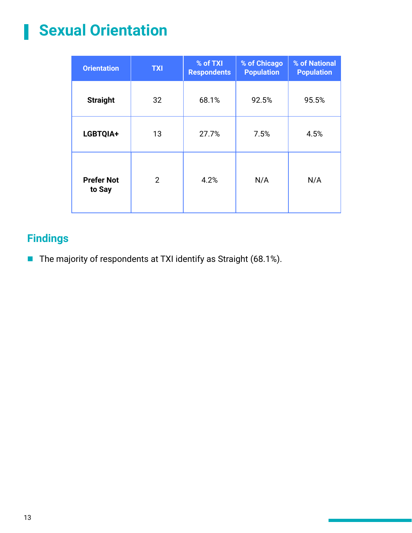#### **Sexual Orientation** H

| <b>Orientation</b>          | <b>TXI</b>     | % of TXI<br><b>Respondents</b> | % of Chicago<br><b>Population</b> | % of National<br><b>Population</b> |
|-----------------------------|----------------|--------------------------------|-----------------------------------|------------------------------------|
| <b>Straight</b>             | 32             | 68.1%                          | 92.5%                             | 95.5%                              |
| LGBTQIA+                    | 13             | 27.7%                          | 7.5%                              | 4.5%                               |
| <b>Prefer Not</b><br>to Say | $\overline{2}$ | 4.2%                           | N/A                               | N/A                                |

#### **Findings**

The majority of respondents at TXI identify as Straight (68.1%).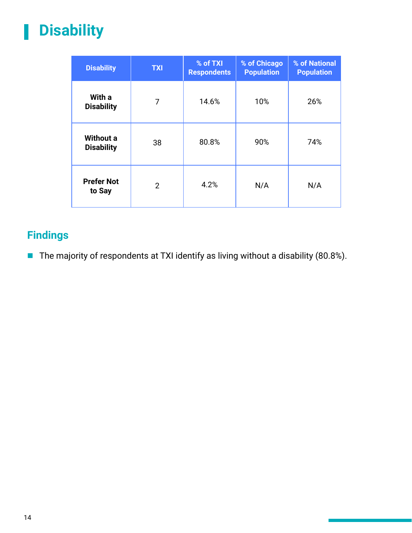#### **Disability**

| <b>Disability</b>                     | <b>TXI</b>     | % of TXI<br><b>Respondents</b> | % of Chicago<br><b>Population</b> | % of National<br><b>Population</b> |
|---------------------------------------|----------------|--------------------------------|-----------------------------------|------------------------------------|
| With a<br><b>Disability</b>           | 7              | 14.6%                          | 10%                               | 26%                                |
| <b>Without a</b><br><b>Disability</b> | 38             | 80.8%                          | 90%                               | 74%                                |
| <b>Prefer Not</b><br>to Say           | $\overline{2}$ | 4.2%                           | N/A                               | N/A                                |

#### **Findings**

The majority of respondents at TXI identify as living without a disability (80.8%).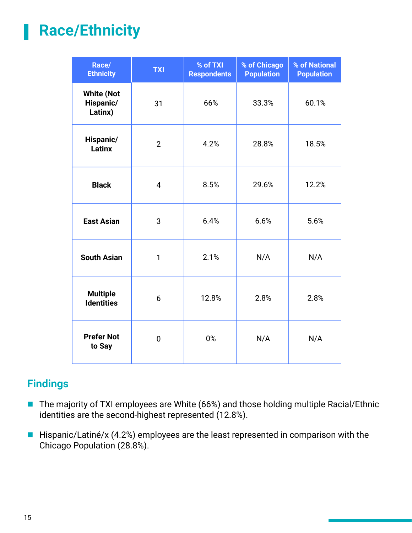### **Race/Ethnicity**

| Race/<br><b>Ethnicity</b>                 | <b>TXI</b>     | % of TXI<br><b>Respondents</b> | % of Chicago<br><b>Population</b> | % of National<br><b>Population</b> |
|-------------------------------------------|----------------|--------------------------------|-----------------------------------|------------------------------------|
| <b>White (Not</b><br>Hispanic/<br>Latinx) | 31             | 66%                            | 33.3%                             | 60.1%                              |
| Hispanic/<br>Latinx                       | $\overline{2}$ | 4.2%                           | 28.8%                             | 18.5%                              |
| <b>Black</b>                              | $\overline{4}$ | 8.5%                           | 29.6%                             | 12.2%                              |
| <b>East Asian</b>                         | 3              | 6.4%                           | 6.6%                              | 5.6%                               |
| <b>South Asian</b>                        | 1              | 2.1%                           | N/A                               | N/A                                |
| <b>Multiple</b><br><b>Identities</b>      | 6              | 12.8%                          | 2.8%                              | 2.8%                               |
| <b>Prefer Not</b><br>to Say               | 0              | 0%                             | N/A                               | N/A                                |

- The majority of TXI employees are White (66%) and those holding multiple Racial/Ethnic identities are the second-highest represented (12.8%).
- $\blacksquare$  Hispanic/Latiné/x (4.2%) employees are the least represented in comparison with the Chicago Population (28.8%).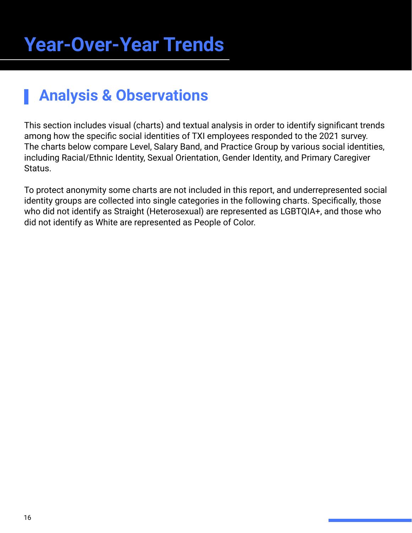### <span id="page-15-0"></span>**Analysis & Observations**

This section includes visual (charts) and textual analysis in order to identify significant trends among how the specific social identities of TXI employees responded to the 2021 survey. The charts below compare Level, Salary Band, and Practice Group by various social identities, including Racial/Ethnic Identity, Sexual Orientation, Gender Identity, and Primary Caregiver Status.

To protect anonymity some charts are not included in this report, and underrepresented social identity groups are collected into single categories in the following charts. Specifically, those who did not identify as Straight (Heterosexual) are represented as LGBTQIA+, and those who did not identify as White are represented as People of Color.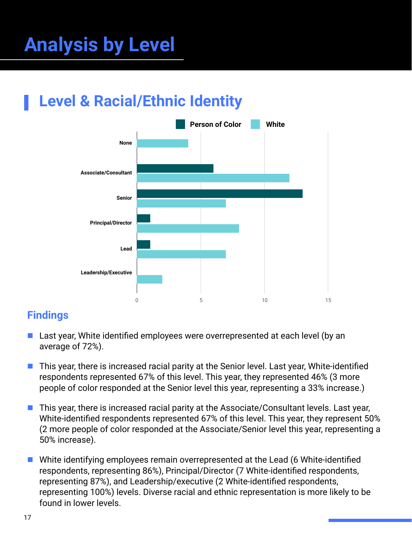## <span id="page-16-0"></span>**Analysis by Level**

### **Level & Racial/Ethnic Identity**



- **E** Last year, White identified employees were overrepresented at each level (by an average of 72%).
- $\blacksquare$  This year, there is increased racial parity at the Senior level. Last year, White-identified respondents represented 67% of this level. This year, they represented 46% (3 more people of color responded at the Senior level this year, representing a 33% increase.)
- $\blacksquare$  This year, there is increased racial parity at the Associate/Consultant levels. Last year, White-identified respondents represented 67% of this level. This year, they represent 50% (2 more people of color responded at the Associate/Senior level this year, representing a 50% increase).
- White identifying employees remain overrepresented at the Lead (6 White-identified respondents, representing 86%), Principal/Director (7 White-identified respondents, representing 87%), and Leadership/executive (2 White-identified respondents, representing 100%) levels. Diverse racial and ethnic representation is more likely to be found in lower levels.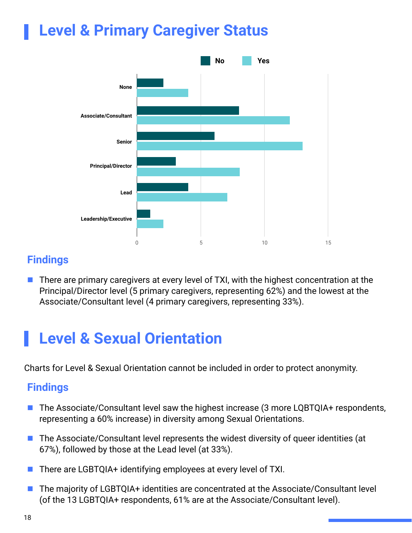#### **Level & Primary Caregiver Status**



#### **Findings**

 $\blacksquare$  There are primary caregivers at every level of TXI, with the highest concentration at the Principal/Director level (5 primary caregivers, representing 62%) and the lowest at the Associate/Consultant level (4 primary caregivers, representing 33%).

### **Level & Sexual Orientation**

Charts for Level & Sexual Orientation cannot be included in order to protect anonymity.

- $\blacksquare$  The Associate/Consultant level saw the highest increase (3 more LQBTQIA+ respondents, representing a 60% increase) in diversity among Sexual Orientations.
- The Associate/Consultant level represents the widest diversity of queer identities (at 67%), followed by those at the Lead level (at 33%).
- $\blacksquare$  There are LGBTQIA+ identifying employees at every level of TXI.
- The majority of LGBTQIA+ identities are concentrated at the Associate/Consultant level (of the 13 LGBTQIA+ respondents, 61% are at the Associate/Consultant level).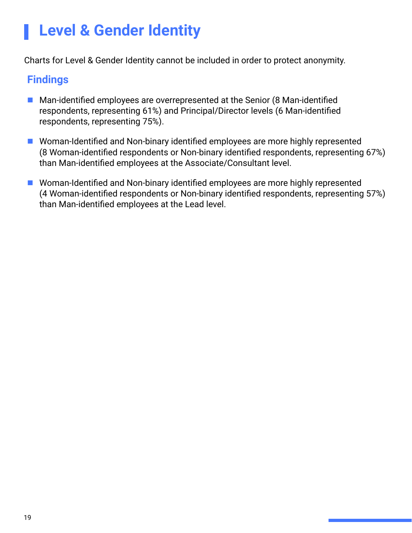### **Level & Gender Identity**

Charts for Level & Gender Identity cannot be included in order to protect anonymity.

- $\blacksquare$  Man-identified employees are overrepresented at the Senior (8 Man-identified respondents, representing 61%) and Principal/Director levels (6 Man-identified respondents, representing 75%).
- Woman-Identified and Non-binary identified employees are more highly represented (8 Woman-identified respondents or Non-binary identified respondents, representing 67%) than Man-identified employees at the Associate/Consultant level.
- Woman-Identified and Non-binary identified employees are more highly represented (4 Woman-identified respondents or Non-binary identified respondents, representing 57%) than Man-identified employees at the Lead level.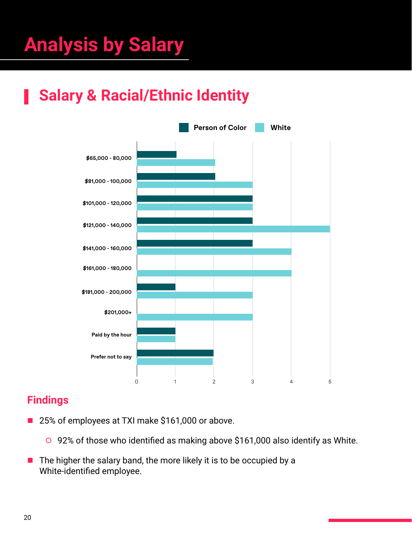## <span id="page-19-0"></span>**Analysis by Salary**

### **Salary & Racial/Ethnic Identity**



- 25% of employees at TXI make \$161,000 or above.
	- $\circ$  92% of those who identified as making above \$161,000 also identify as White.
- $\blacksquare$  The higher the salary band, the more likely it is to be occupied by a White-identified employee.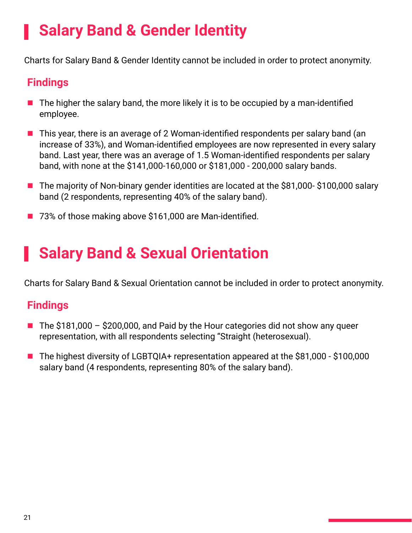### **Salary Band & Gender Identity**

Charts for Salary Band & Gender Identity cannot be included in order to protect anonymity.

#### **Findings**

- $\blacksquare$  The higher the salary band, the more likely it is to be occupied by a man-identified employee.
- $\blacksquare$  This year, there is an average of 2 Woman-identified respondents per salary band (an increase of 33%), and Woman-identified employees are now represented in every salary band. Last year, there was an average of 1.5 Woman-identified respondents per salary band, with none at the \$141,000-160,000 or \$181,000 - 200,000 salary bands.
- The majority of Non-binary gender identities are located at the \$81,000- \$100,000 salary band (2 respondents, representing 40% of the salary band).
- 73% of those making above \$161,000 are Man-identified.

### **Salary Band & Sexual Orientation**

Charts for Salary Band & Sexual Orientation cannot be included in order to protect anonymity.

- $\blacksquare$  The \$181,000 \$200,000, and Paid by the Hour categories did not show any queer representation, with all respondents selecting "Straight (heterosexual).
- The highest diversity of LGBTQIA+ representation appeared at the \$81,000 \$100,000 salary band (4 respondents, representing 80% of the salary band).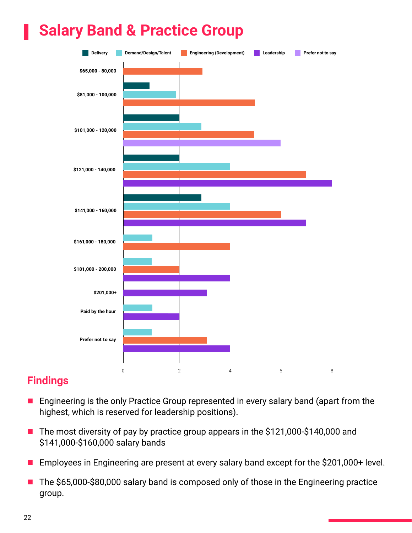### **Salary Band & Practice Group**



- **Engineering is the only Practice Group represented in every salary band (apart from the** highest, which is reserved for leadership positions).
- The most diversity of pay by practice group appears in the \$121,000-\$140,000 and \$141,000-\$160,000 salary bands
- Employees in Engineering are present at every salary band except for the \$201,000+ level.
- The \$65,000-\$80,000 salary band is composed only of those in the Engineering practice group.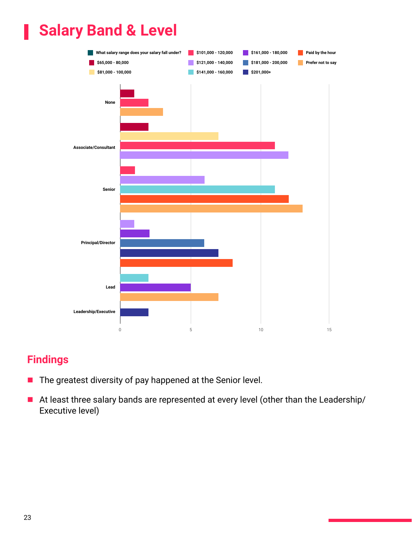### **Salary Band & Level**



- The greatest diversity of pay happened at the Senior level.
- At least three salary bands are represented at every level (other than the Leadership/ Executive level)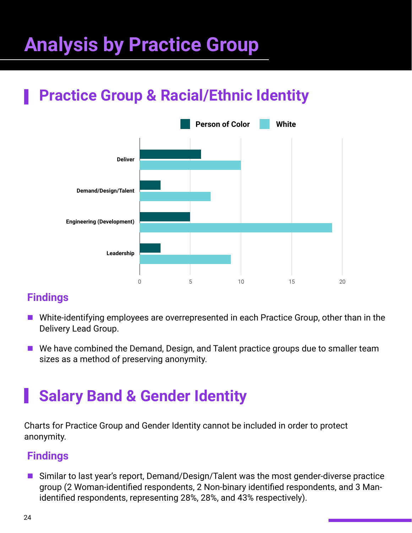## <span id="page-23-0"></span>**Analysis by Practice Group**

### **Practice Group & Racial/Ethnic Identity**



#### **Findings**

- White-identifying employees are overrepresented in each Practice Group, other than in the Delivery Lead Group.
- $\blacksquare$  We have combined the Demand, Design, and Talent practice groups due to smaller team sizes as a method of preserving anonymity.

### **Salary Band & Gender Identity**

Charts for Practice Group and Gender Identity cannot be included in order to protect anonymity.

#### **Findings**

■ Similar to last year's report, Demand/Design/Talent was the most gender-diverse practice group (2 Woman-identified respondents, 2 Non-binary identified respondents, and 3 Manidentified respondents, representing 28%, 28%, and 43% respectively).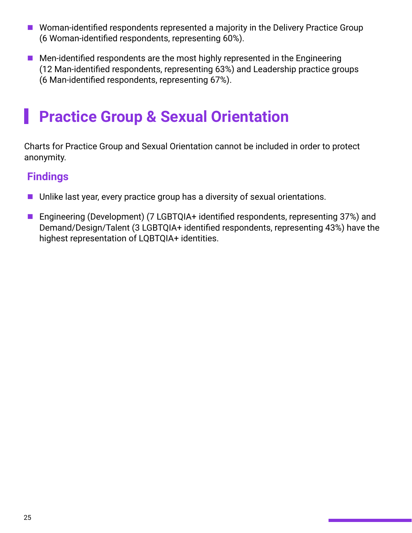- Woman-identified respondents represented a majority in the Delivery Practice Group (6 Woman-identified respondents, representing 60%).
- $\blacksquare$  Men-identified respondents are the most highly represented in the Engineering (12 Man-identified respondents, representing 63%) and Leadership practice groups (6 Man-identified respondents, representing 67%).

### **Practice Group & Sexual Orientation**

Charts for Practice Group and Sexual Orientation cannot be included in order to protect anonymity.

- $\blacksquare$  Unlike last year, every practice group has a diversity of sexual orientations.
- Engineering (Development) (7 LGBTQIA+ identified respondents, representing 37%) and Demand/Design/Talent (3 LGBTQIA+ identified respondents, representing 43%) have the highest representation of LQBTQIA+ identities.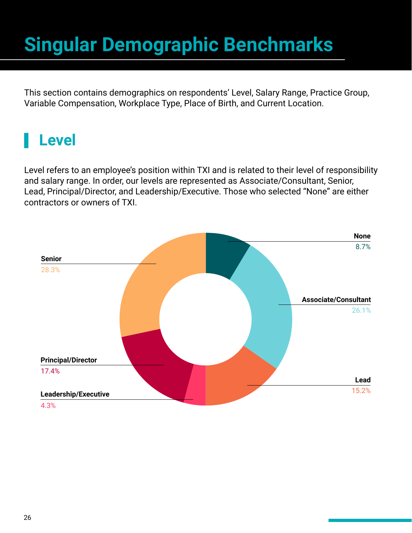## <span id="page-25-0"></span>**Singular Demographic Benchmarks**

This section contains demographics on respondents' Level, Salary Range, Practice Group, Variable Compensation, Workplace Type, Place of Birth, and Current Location.

### **Level**

Level refers to an employee's position within TXI and is related to their level of responsibility and salary range. In order, our levels are represented as Associate/Consultant, Senior, Lead, Principal/Director, and Leadership/Executive. Those who selected "None" are either contractors or owners of TXI.

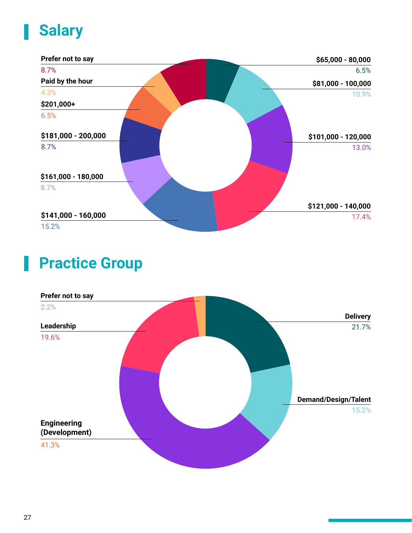### **Salary**



#### **Practice Group**

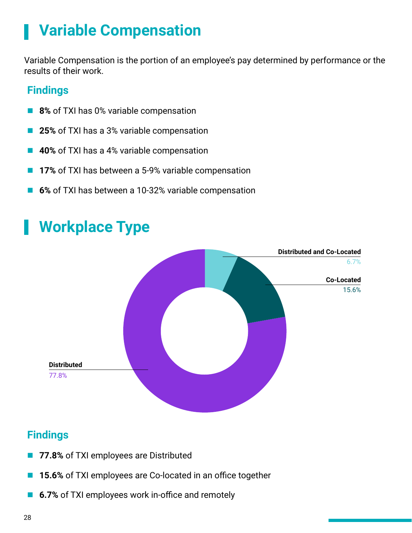### **Variable Compensation**

Variable Compensation is the portion of an employee's pay determined by performance or the results of their work.

#### **Findings**

- **8%** of TXI has 0% variable compensation
- 25% of TXI has a 3% variable compensation
- 40% of TXI has a 4% variable compensation
- **17%** of TXI has between a 5-9% variable compensation
- 6% of TXI has between a 10-32% variable compensation



### **Workplace Type**

- 77.8% of TXI employees are Distributed
- **15.6%** of TXI employees are Co-located in an office together
- 6.7% of TXI employees work in-office and remotely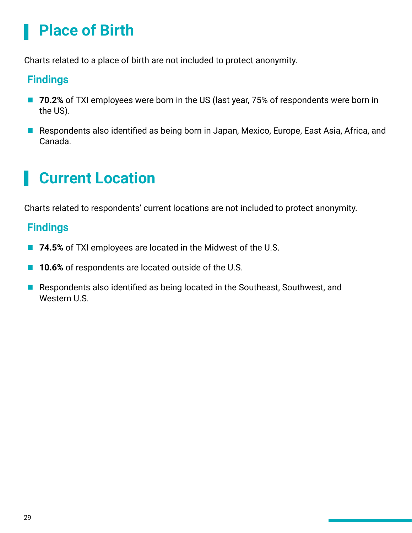### **Place of Birth**

Charts related to a place of birth are not included to protect anonymity.

#### **Findings**

- 70.2% of TXI employees were born in the US (last year, 75% of respondents were born in the US).
- Respondents also identified as being born in Japan, Mexico, Europe, East Asia, Africa, and Canada.

### **Current Location**

Charts related to respondents' current locations are not included to protect anonymity.

- 74.5% of TXI employees are located in the Midwest of the U.S.
- **10.6%** of respondents are located outside of the U.S.
- Respondents also identified as being located in the Southeast, Southwest, and Western U.S.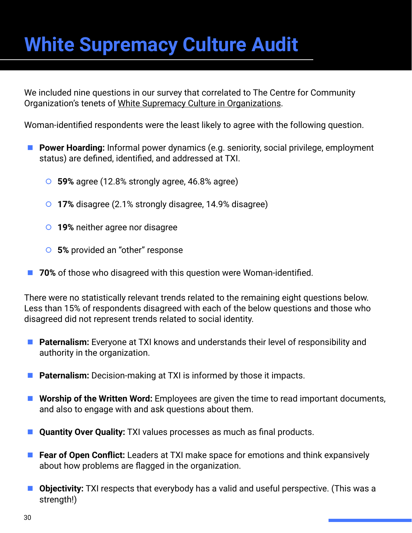## <span id="page-29-0"></span>**White Supremacy Culture Audit**

We included nine questions in our survey that correlated to The Centre for Community Organization's tenets of [White Supremacy Culture in Organizations.](https://coco-net.org/wp-content/uploads/2019/11/Coco-WhiteSupCulture-ENG4.pdf)

Woman-identified respondents were the least likely to agree with the following question.

- **Power Hoarding:** Informal power dynamics (e.g. seniority, social privilege, employment status) are defined, identified, and addressed at TXI.
	- **O** 59% agree (12.8% strongly agree, 46.8% agree)
	- **o 17%** disagree (2.1% strongly disagree, 14.9% disagree)
	- **o 19%** neither agree nor disagree
	- **6 5%** provided an "other" response
- **The 70%** of those who disagreed with this question were Woman-identified.

There were no statistically relevant trends related to the remaining eight questions below. Less than 15% of respondents disagreed with each of the below questions and those who disagreed did not represent trends related to social identity.

- **E** Paternalism: Everyone at TXI knows and understands their level of responsibility and authority in the organization.
- **Paternalism:** Decision-making at TXI is informed by those it impacts.
- **E** Worship of the Written Word: Employees are given the time to read important documents, and also to engage with and ask questions about them.
- **Quantity Over Quality:** TXI values processes as much as final products.
- **Fear of Open Conflict:** Leaders at TXI make space for emotions and think expansively about how problems are flagged in the organization.
- Objectivity: TXI respects that everybody has a valid and useful perspective. (This was a strength!)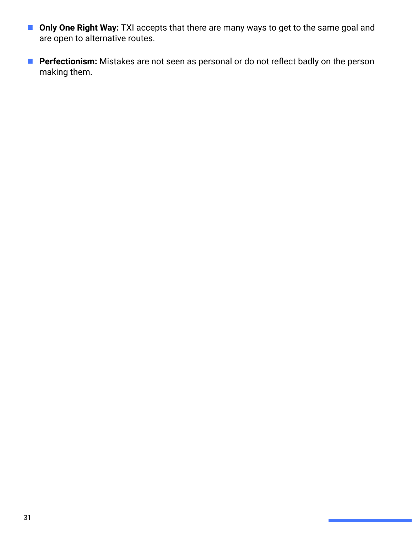- **Diama Divide Right Way: TXI accepts that there are many ways to get to the same goal and** are open to alternative routes.
- **Perfectionism:** Mistakes are not seen as personal or do not reflect badly on the person making them.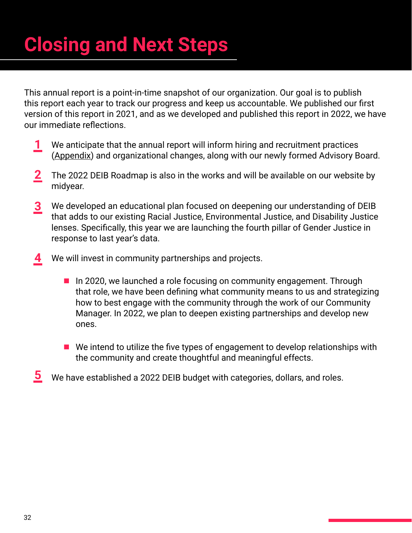## **Closing and Next Steps**

This annual report is a point-in-time snapshot of our organization. Our goal is to publish this report each year to track our progress and keep us accountable. We published our first version of this report in 2021, and as we developed and published this report in 2022, we have our immediate reflections.

- We anticipate that the annual report will inform hiring and recruitment practices ([Appendix\)](#page-32-0) and organizational changes, along with our newly formed Advisory Board. **1**
- The 2022 DEIB Roadmap is also in the works and will be available on our website by midyear. **2**
- We developed an educational plan focused on deepening our understanding of DEIB that adds to our existing Racial Justice, Environmental Justice, and Disability Justice lenses. Specifically, this year we are launching the fourth pillar of Gender Justice in response to last year's data. **3**
- We will invest in community partnerships and projects. **4**
	- $\blacksquare$  In 2020, we launched a role focusing on community engagement. Through that role, we have been defining what community means to us and strategizing how to best engage with the community through the work of our Community Manager. In 2022, we plan to deepen existing partnerships and develop new ones.
	- $\blacksquare$  We intend to utilize the five types of engagement to develop relationships with the community and create thoughtful and meaningful effects.
- We have established a 2022 DEIB budget with categories, dollars, and roles. **5**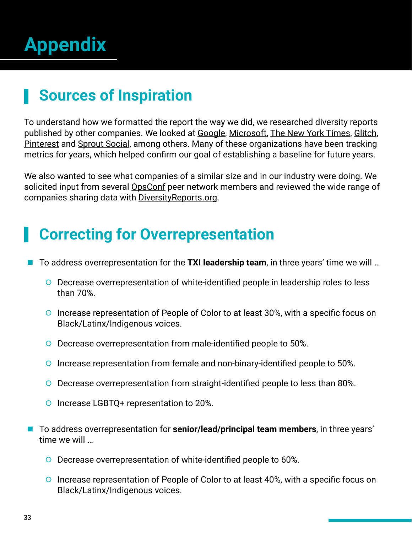## <span id="page-32-0"></span>**Appendix**

### **Sources of Inspiration**

To understand how we formatted the report the way we did, we researched diversity reports published by other companies. We looked at [Google,](https://diversity.google/annual-report/) [Microsoft](https://query.prod.cms.rt.microsoft.com/cms/api/am/binary/RE4aqv1), [The New York Times,](https://www.nytco.com/company/diversity-and-inclusion/2018-diversity-inclusion-report/) [Glitch,](https://diversity-report-spring-2019.glitch.me/) [Pinterest](https://newsroom.pinterest.com/en/post/diversity-report-2020) and [Sprout Social](https://media.sproutsocial.com/uploads/Sprout-Social-2020-DEI-Report.pdf), among others. Many of these organizations have been tracking metrics for years, which helped confirm our goal of establishing a baseline for future years.

We also wanted to see what companies of a similar size and in our industry were doing. We solicited input from several **OpsConf** peer network members and reviewed the wide range of companies sharing data with [DiversityReports.org.](https://www.diversityreports.org/)

### **Correcting for Overrepresentation**

- To address overrepresentation for the **TXI leadership team**, in three years' time we will ...
	- ʧ Decrease overrepresentation of white-identified people in leadership roles to less than 70%.
	- ʧ Increase representation of People of Color to at least 30%, with a specific focus on Black/Latinx/Indigenous voices.
	- ʧ Decrease overrepresentation from male-identified people to 50%.
	- ʧ Increase representation from female and non-binary-identified people to 50%.
	- ʧ Decrease overrepresentation from straight-identified people to less than 80%.
	- **O** Increase LGBTQ+ representation to 20%.
- **To address overrepresentation for senior/lead/principal team members**, in three years' time we will …
	- ʧ Decrease overrepresentation of white-identified people to 60%.
	- **O** Increase representation of People of Color to at least 40%, with a specific focus on Black/Latinx/Indigenous voices.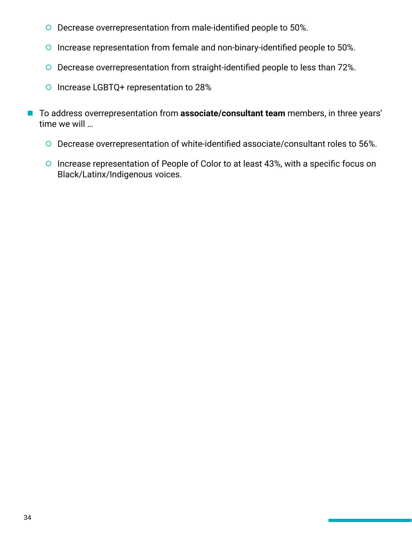- ʧ Decrease overrepresentation from male-identified people to 50%.
- ʧ Increase representation from female and non-binary-identified people to 50%.
- ʧ Decrease overrepresentation from straight-identified people to less than 72%.
- o Increase LGBTQ+ representation to 28%
- To address overrepresentation from **associate/consultant team** members, in three years' time we will …
	- ʧ Decrease overrepresentation of white-identified associate/consultant roles to 56%.
	- o Increase representation of People of Color to at least 43%, with a specific focus on Black/Latinx/Indigenous voices.